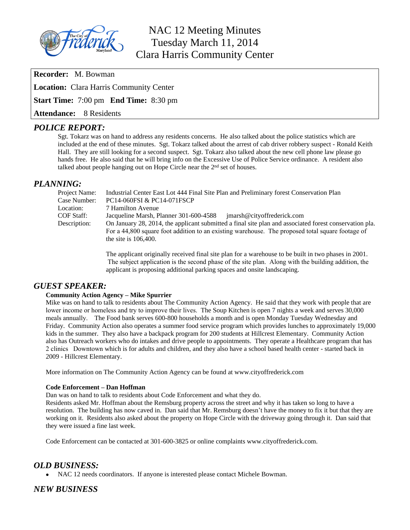

# NAC 12 Meeting Minutes Tuesday March 11, 2014 Clara Harris Community Center

**Recorder:** M. Bowman

**Location:** Clara Harris Community Center

**Start Time:** 7:00 pm **End Time:** 8:30 pm

**Attendance:** 8 Residents

## *POLICE REPORT:*

Sgt. Tokarz was on hand to address any residents concerns. He also talked about the police statistics which are included at the end of these minutes. Sgt. Tokarz talked about the arrest of cab driver robbery suspect - Ronald Keith Hall. They are still looking for a second suspect. Sgt. Tokarz also talked about the new cell phone law please go hands free. He also said that he will bring info on the Excessive Use of Police Service ordinance. A resident also talked about people hanging out on Hope Circle near the 2<sup>nd</sup> set of houses.

## *PLANNING:*

| Project Name:     | Industrial Center East Lot 444 Final Site Plan and Preliminary forest Conservation Plan                |  |  |  |  |  |  |  |  |  |
|-------------------|--------------------------------------------------------------------------------------------------------|--|--|--|--|--|--|--|--|--|
| Case Number:      | PC14-060FSI & PC14-071FSCP                                                                             |  |  |  |  |  |  |  |  |  |
| Location:         | 7 Hamilton Avenue                                                                                      |  |  |  |  |  |  |  |  |  |
| <b>COF Staff:</b> | Jacqueline Marsh, Planner 301-600-4588<br>imarsh@cityoffrederick.com                                   |  |  |  |  |  |  |  |  |  |
| Description:      | On January 28, 2014, the applicant submitted a final site plan and associated forest conservation pla. |  |  |  |  |  |  |  |  |  |
|                   | For a 44,800 square foot addition to an existing warehouse. The proposed total square footage of       |  |  |  |  |  |  |  |  |  |
|                   | the site is $106,400$ .                                                                                |  |  |  |  |  |  |  |  |  |

The applicant originally received final site plan for a warehouse to be built in two phases in 2001. The subject application is the second phase of the site plan. Along with the building addition, the applicant is proposing additional parking spaces and onsite landscaping.

### *GUEST SPEAKER:*

#### **Community Action Agency – Mike Spurrier**

Mike was on hand to talk to residents about The Community Action Agency. He said that they work with people that are lower income or homeless and try to improve their lives. The Soup Kitchen is open 7 nights a week and serves 30,000 meals annually. The Food bank serves 600-800 households a month and is open Monday Tuesday Wednesday and Friday. Community Action also operates a summer food service program which provides lunches to approximately 19,000 kids in the summer. They also have a backpack program for 200 students at Hillcrest Elementary. Community Action also has Outreach workers who do intakes and drive people to appointments. They operate a Healthcare program that has 2 clinics Downtown which is for adults and children, and they also have a school based health center - started back in 2009 - Hillcrest Elementary.

More information on The Community Action Agency can be found at www.cityoffrederick.com

#### **Code Enforcement – Dan Hoffman**

Dan was on hand to talk to residents about Code Enforcement and what they do.

Residents asked Mr. Hoffman about the Remsburg property across the street and why it has taken so long to have a resolution. The building has now caved in. Dan said that Mr. Remsburg doesn't have the money to fix it but that they are working on it. Residents also asked about the property on Hope Circle with the driveway going through it. Dan said that they were issued a fine last week.

Code Enforcement can be contacted at 301-600-3825 or online complaints www.cityoffrederick.com.

### *OLD BUSINESS:*

NAC 12 needs coordinators. If anyone is interested please contact Michele Bowman.

*NEW BUSINESS*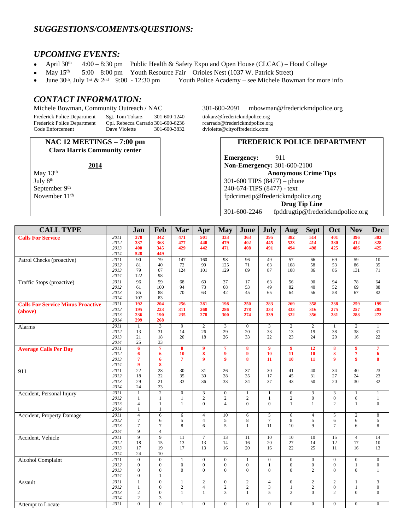## *SUGGESTIONS/COMENTS/QUESTIONS:*

#### *UPCOMING EVENTS:*

- April  $30<sup>th</sup>$  4:00 8:30 pm Public Health & Safety Expo and Open House (CLCAC) Hood College
- May  $15<sup>th</sup>$  5:00 8:00 pm Youth Resource Fair Orioles Nest (1037 W. Patrick Street)
- June 30th, July 1st & 2nd 9:00 12:30 pm Youth Police Academy see Michele Bowman for more info

#### *CONTACT INFORMATION:*

Frederick Police Department Sgt. Tom Tokarz 301-600-1240 ttokarz@frederickmdpolice.org Frederick Police Department Cpl. Rebecca Carrado 301-600-6236<br>Code Enforcement Dave Violette 301-600-3832

**NAC 12 MEETINGS – 7:00 pm Clara Harris Community center**

May 13<sup>th</sup> July 8th September 9<sup>th</sup> November 11<sup>th</sup>

Michele Bowman, Community Outreach / NAC 301-600-2091 [mbowman@frederickmdpolice.org](mailto:mbowman@frederickmdpolice.org)

dviolette@cityoffrederick.com

#### **FREDERICK POLICE DEPARTMENT**

**Emergency:** 911 **Non-Emergency:** 301-600-2100 **Anonymous Crime Tips** 301-600 TIPS (8477) – phone 240-674-TIPS (8477) - text [fpdcrimetip@frederickmdpolice.org](mailto:fpdcrimetip@frederickmdpolice.org) **Drug Tip Line** 301-600-2246 fpddrugtip@frederickmdpolice.org

| <b>CALL TYPE</b>                         |              | Jan                          | Feb               | Mar              | Apr             | <b>May</b>       | June             | <b>July</b>     | Aug             | <b>Sept</b>             | Oct                     | <b>Nov</b>       | <b>Dec</b>       |
|------------------------------------------|--------------|------------------------------|-------------------|------------------|-----------------|------------------|------------------|-----------------|-----------------|-------------------------|-------------------------|------------------|------------------|
| <b>Calls For Service</b>                 | 2011         | 378                          | 342               | 471              | 501             | 333              | 363              | 395             | 382             | 514                     | 401                     | 396              | 303              |
|                                          | 2012         | 337                          | 363               | 477              | 440             | 479              | 402              | 445             | 523             | 414                     | 380                     | 412              | 328              |
|                                          | 2013         | 400                          | 345               | 429              | 442             | 471              | 408              | 491             | 494             | 498                     | 425                     | 486              | 425              |
|                                          | 2014         | 528                          | 449               |                  |                 |                  |                  |                 |                 |                         |                         |                  |                  |
| Patrol Checks (proactive)                | 2011         | 90                           | 79                | 147              | 160             | 98               | 96               | 49              | $\overline{57}$ | 66                      | 69                      | $\overline{59}$  | 10               |
|                                          | 2012         | 81                           | 40                | 72               | 99              | 125              | 71               | 63              | 108             | 58                      | 53                      | 86               | 35               |
|                                          | 2013         | 79                           | 67                | 124              | 101             | 129              | 89               | 87              | 108             | 86                      | 86                      | 131              | 71               |
|                                          | 2014         | 122                          | 98                |                  |                 |                  |                  |                 |                 |                         |                         |                  |                  |
| Traffic Stops (proactive)                | 2011         | 96                           | 59                | $\overline{68}$  | $\overline{60}$ | $\overline{37}$  | $\overline{17}$  | 63              | $\overline{56}$ | 90                      | 94                      | $\overline{78}$  | 64               |
|                                          | 2012         | 61                           | 100               | 94               | 73              | 68               | 53               | 49              | 82              | 40                      | 52                      | 69               | 88               |
|                                          | 2013         | 85                           | 88                | 70               | 63              | 42               | 45               | 65              | 64              | 56                      | 58                      | 67               | 82               |
|                                          | 2014         | 107                          | 83                |                  |                 |                  |                  |                 |                 |                         |                         |                  |                  |
| <b>Calls For Service Minus Proactive</b> | 2011<br>2012 | 192<br>195                   | 204<br>223        | 256<br>311       | 281<br>268      | 198<br>286       | 250<br>278       | 283<br>333      | 269<br>333      | 358<br>316              | 238<br>275              | 259<br>257       | 199<br>205       |
| (above)                                  | 2013         | 236                          | 190               | 235              | 278             | 300              | 274              | 339             | 322             | 356                     | 281                     | 288              | 272              |
|                                          | 2014         | 299                          | 268               |                  |                 |                  |                  |                 |                 |                         |                         |                  |                  |
| Alarms                                   | 2011         | $\mathbf{1}$                 | $\overline{3}$    | $\overline{9}$   | $\overline{2}$  | $\overline{3}$   | $\overline{0}$   | $\overline{3}$  | $\overline{2}$  | $\overline{2}$          | $\mathbf{1}$            | $\overline{2}$   | 1                |
|                                          | 2012         | 13                           | 31                | 14               | 26              | 29               | 20               | 33              | 13              | 19                      | 38                      | 38               | 31               |
|                                          | 2013         | 21                           | 18                | 20               | 18              | 26               | 33               | 22              | 23              | 24                      | 20                      | 16               | 22               |
|                                          | 2014         | 25                           | 33                |                  |                 |                  |                  |                 |                 |                         |                         |                  |                  |
| <b>Average Calls Per Day</b>             | 2011         | 6                            | $\overline{\tau}$ | 8                | 9               | $\overline{7}$   | 8                | $\overline{9}$  | $\overline{9}$  | $\overline{12}$         | 8                       | 9                | $\overline{7}$   |
|                                          | 2012         | 6                            | 6                 | 10               | 8               | 9                | $\boldsymbol{9}$ | 10              | 11              | 10                      | 8                       | $\overline{7}$   | 6                |
|                                          | 2013         | $\overline{7}$               | 6                 | $\overline{7}$   | $\overline{9}$  | $\overline{9}$   | 8                | 11              | 10              | 11                      | 9                       | $\overline{9}$   | 8                |
|                                          | 2014         | $\boldsymbol{9}$             | 8                 |                  |                 |                  |                  |                 |                 |                         |                         |                  |                  |
| 911                                      | 2011         | 22                           | 28                | 30               | 31              | 26               | $\overline{37}$  | $\overline{30}$ | 41              | 40                      | 34                      | 40               | 23               |
|                                          | 2012         | 18<br>29                     | 22                | 35               | 30              | 28               | 35               | 17              | 45<br>43        | 31<br>50                | 27                      | 24               | 23               |
|                                          | 2013<br>2014 | 24                           | 21<br>23          | 33               | 36              | 33               | 34               | 37              |                 |                         | 20                      | 30               | 32               |
|                                          | 2011         | $\mathbf{1}$                 | $\overline{2}$    | $\overline{0}$   | $\overline{3}$  | $\overline{0}$   | $\mathbf{1}$     | $\mathbf{1}$    | $\overline{0}$  | $\overline{\mathbf{3}}$ | $\overline{\mathbf{3}}$ | $\mathbf{1}$     | 1                |
| Accident, Personal Injury                | 2012         | 1                            | 1                 | $\mathbf{1}$     | $\overline{c}$  | $\sqrt{2}$       | $\sqrt{2}$       | $\mathbf{1}$    | $\overline{c}$  | $\boldsymbol{0}$        | $\boldsymbol{0}$        | 6                | $\mathbf{1}$     |
|                                          | 2013         | $\overline{4}$               | 1                 | $\mathbf{1}$     | $\Omega$        | $\overline{4}$   | $\overline{0}$   | $\Omega$        | $\mathbf{1}$    | $\mathbf{1}$            | $\overline{c}$          | $\mathbf{1}$     | $\Omega$         |
|                                          | 2014         | 1                            | 1                 |                  |                 |                  |                  |                 |                 |                         |                         |                  |                  |
| Accident, Property Damage                | 2011         | $\overline{4}$               | 6                 | 6                | $\overline{4}$  | 10               | 6                | 5               | 6               | $\overline{4}$          | 5                       | $\sqrt{2}$       | $\,8\,$          |
|                                          | 2012         | $7\phantom{.0}$              | 6                 | 5                | $\overline{4}$  | 5                | $\,8\,$          | $\overline{7}$  | 8               | 5                       | 6                       | 6                | 5                |
|                                          | 2013         | $\overline{7}$               | $\boldsymbol{7}$  | 8                | 6               | 5                | $\mathbf{1}$     | 11              | 10              | 9                       | $\tau$                  | 6                | 8                |
|                                          | 2014         | 9                            | $\overline{4}$    |                  |                 |                  |                  |                 |                 |                         |                         |                  |                  |
| Accident, Vehicle                        | 2011         | $\overline{9}$               | $\overline{9}$    | 11               | $\overline{7}$  | 13               | $\overline{11}$  | 10              | $\overline{10}$ | 10                      | $\overline{15}$         | $\overline{4}$   | 14               |
|                                          | 2012         | 18                           | 15                | 13               | 13              | 14               | 16               | 20              | 27              | 14                      | 12                      | 17               | 10               |
|                                          | 2013         | 17                           | 19                | 17               | 13              | 16               | 20               | 16              | 22              | 25                      | 11                      | 16               | 13               |
|                                          | 2014         | 24                           | 10                |                  |                 |                  |                  |                 |                 |                         |                         |                  |                  |
| <b>Alcohol Complaint</b>                 | 2011         | $\overline{0}$               | $\overline{0}$    | $\mathbf{1}$     | $\mathbf{0}$    | $\mathbf{0}$     | 1                | $\overline{0}$  | $\overline{0}$  | $\mathbf{0}$            | $\boldsymbol{0}$        | $\mathbf{0}$     | $\mathbf{0}$     |
|                                          | 2012         | $\mathbf{0}$                 | $\mathbf{0}$      | $\boldsymbol{0}$ | $\overline{0}$  | $\boldsymbol{0}$ | $\mathbf{0}$     | 1               | $\overline{0}$  | $\boldsymbol{0}$        | $\boldsymbol{0}$        | $\,1$            | $\boldsymbol{0}$ |
|                                          | 2013         | $\Omega$                     | $\theta$          | $\theta$         | $\Omega$        | $\mathbf{0}$     | $\Omega$         | $\Omega$        | $\Omega$        | $\overline{2}$          | $\mathbf{0}$            | $\mathbf{0}$     | $\mathbf{1}$     |
|                                          | 2014         | $\mathbf{0}$                 | $\mathbf{1}$      |                  |                 |                  |                  |                 |                 |                         |                         |                  |                  |
| Assault                                  | 2011         | $\mathbf{1}$                 | $\mathbf{0}$      | $\mathbf{1}$     | $\overline{c}$  | $\mathbf{0}$     | $\mathbf{2}$     | $\overline{4}$  | $\overline{0}$  | $\mathbf{2}$            | $\overline{c}$          | $\mathbf{1}$     | 3                |
|                                          | 2012         | 1                            | $\mathbf{0}$      | $\mathbf{2}$     | $\overline{4}$  | $\sqrt{2}$       | $\sqrt{2}$       | 3               | $\mathbf{1}$    | $\sqrt{2}$              | $\boldsymbol{0}$        | $\mathbf{1}$     | $\mathbf{0}$     |
|                                          | 2013<br>2014 | $\sqrt{2}$<br>$\overline{2}$ | $\mathbf{0}$<br>3 | $\mathbf{1}$     | $\mathbf{1}$    | $\mathfrak{Z}$   | $\mathbf{1}$     | 5               | $\overline{c}$  | $\mathbf{0}$            | $\overline{c}$          | $\boldsymbol{0}$ | $\overline{0}$   |
| Attempt to Locate                        | 2011         | $\overline{0}$               | $\Omega$          | $\mathbf{1}$     | $\overline{0}$  | $\overline{0}$   | $\overline{0}$   | $\overline{0}$  | $\overline{0}$  | $\overline{0}$          | $\overline{0}$          | $\overline{0}$   | $\mathbf{0}$     |
|                                          |              |                              |                   |                  |                 |                  |                  |                 |                 |                         |                         |                  |                  |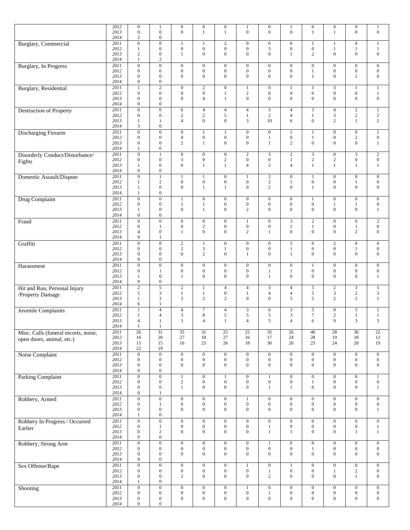|                                      | 2012         | $\boldsymbol{0}$                     | $\mathbf{1}$                         | $\mathbf{0}$                         | $\boldsymbol{0}$                     | $\boldsymbol{0}$                     | $\mathbf{1}$                         | $\mathbf{0}$                         | $\mathbf{1}$                         | $\boldsymbol{0}$                      | $\boldsymbol{0}$                     | $\boldsymbol{0}$                     | $\mathbf{1}$                         |
|--------------------------------------|--------------|--------------------------------------|--------------------------------------|--------------------------------------|--------------------------------------|--------------------------------------|--------------------------------------|--------------------------------------|--------------------------------------|---------------------------------------|--------------------------------------|--------------------------------------|--------------------------------------|
|                                      | 2013<br>2014 | $\overline{0}$<br>$\overline{c}$     | $\overline{0}$<br>$\boldsymbol{0}$   | $\boldsymbol{0}$                     | 1                                    | $\mathbf{1}$                         | $\overline{0}$                       | $\mathbf{0}$                         | $\overline{0}$                       | $\mathbf{1}$                          | 1                                    | $\mathbf{0}$                         | $\boldsymbol{0}$                     |
| <b>Burglary</b> , Commercial         | 2011         | $\boldsymbol{0}$                     | $\overline{0}$                       | $\mathbf{1}$                         |                                      | $\overline{2}$                       | $\overline{0}$                       | $\boldsymbol{0}$                     | $\boldsymbol{0}$                     | 1                                     |                                      | $\overline{0}$                       | $\mathbf{1}$                         |
|                                      | 2012         | 1                                    | $\boldsymbol{0}$                     | $\boldsymbol{0}$                     | $\boldsymbol{0}$<br>$\overline{0}$   | $\boldsymbol{0}$<br>$\overline{0}$   | $\boldsymbol{0}$<br>$\mathbf{0}$     | 3<br>$\mathbf{0}$                    | $\boldsymbol{0}$                     | $\boldsymbol{0}$                      | 1<br>$\overline{0}$                  | -1<br>$\mathbf{0}$                   | $\mathbf{1}$                         |
|                                      | 2013<br>2014 | $\overline{c}$<br>1                  | $\boldsymbol{0}$<br>$\mathbf{2}$     | $\mathbf{1}$                         |                                      |                                      |                                      |                                      | $\mathbf{1}$                         | $\overline{2}$                        |                                      |                                      | $\boldsymbol{0}$                     |
| <b>Burglary</b> , In Progress        | 2011         | $\overline{0}$                       | $\boldsymbol{0}$                     | $\mathbf{0}$                         | $\boldsymbol{0}$                     | $\overline{0}$                       | $\mathbf{0}$                         | $\boldsymbol{0}$                     | $\boldsymbol{0}$                     | $\mathbf{0}$                          | $\mathbf{0}$                         | $\mathbf{0}$                         | $\boldsymbol{0}$                     |
|                                      | 2012<br>2013 | $\mathbf{0}$<br>$\overline{0}$       | $\boldsymbol{0}$<br>$\boldsymbol{0}$ | $\mathbf{0}$<br>$\mathbf{0}$         | $\boldsymbol{0}$<br>$\overline{0}$   | $\mathbf{0}$<br>$\mathbf{0}$         | $\boldsymbol{0}$<br>$\mathbf{0}$     | $\mathbf{0}$<br>$\overline{0}$       | $\boldsymbol{0}$<br>$\mathbf{0}$     | $\mathbf{1}$<br>$\mathbf{1}$          | $\mathbf{0}$<br>$\mathbf{0}$         | $\boldsymbol{0}$<br>$\mathbf{1}$     | $\boldsymbol{0}$<br>$\boldsymbol{0}$ |
|                                      | 2014         | $\boldsymbol{0}$                     | $\boldsymbol{0}$                     |                                      |                                      |                                      |                                      |                                      |                                      |                                       |                                      |                                      |                                      |
| <b>Burglary</b> , Residential        | 2011         | 1                                    | $\overline{2}$                       | $\mathbf{0}$                         | $\boldsymbol{2}$                     | $\overline{0}$                       | $\mathbf{1}$                         | $\mathbf{0}$                         | $\mathbf{1}$                         | 1                                     | 3                                    | $\mathbf{1}$                         | $\mathbf{1}$                         |
|                                      | 2012<br>2013 | $\mathbf{0}$<br>$\overline{0}$       | $\boldsymbol{0}$<br>$\mathbf{0}$     | $\boldsymbol{0}$<br>$\mathbf{0}$     | $\mathbf{0}$<br>4                    | $\mathbf{1}$<br>$\mathbf{1}$         | $\overline{2}$<br>$\boldsymbol{0}$   | $\boldsymbol{0}$<br>$\Omega$         | $\boldsymbol{0}$<br>$\mathbf{0}$     | $\mathbf{0}$<br>$\overline{0}$        | $\mathbf{0}$<br>$\overline{0}$       | $\mathbf{0}$<br>$\mathbf{0}$         | $1\,$<br>$\boldsymbol{0}$            |
|                                      | 2014         | $\boldsymbol{0}$                     | $\boldsymbol{0}$                     |                                      |                                      |                                      |                                      |                                      |                                      |                                       |                                      |                                      |                                      |
| Destruction of Property              | 2011         | 6                                    | $\boldsymbol{0}$                     | 6                                    | $\overline{4}$                       | $\overline{4}$                       | $\overline{4}$                       | 3                                    | $\overline{4}$                       | $\mathfrak{Z}$                        | $\overline{4}$                       | $\sqrt{2}$                           | $\mathbf{1}$                         |
|                                      | 2012<br>2013 | $\boldsymbol{0}$<br>1                | $\boldsymbol{0}$<br>1                | $\sqrt{2}$<br>4                      | $\sqrt{2}$<br>$\mathbf{0}$           | 5<br>$\boldsymbol{0}$                | $\mathbf{1}$<br>3                    | $\mathbf{2}$<br>10                   | $\overline{4}$<br>6                  | $\mathbf{1}$<br>$\mathbf{0}$          | 3<br>2                               | $\sqrt{2}$<br>$\mathbf{1}$           | $\sqrt{2}$<br>$\mathbf{2}$           |
|                                      | 2014         | 3                                    | $\boldsymbol{0}$                     |                                      |                                      |                                      |                                      |                                      |                                      |                                       |                                      |                                      |                                      |
| Discharging Firearm                  | 2011         | $\boldsymbol{0}$                     | $\boldsymbol{0}$                     | $\boldsymbol{0}$                     | 1                                    | $\mathbf{1}$                         | $\boldsymbol{0}$                     | $\boldsymbol{0}$                     | $\mathbf{1}$                         | $\mathbf{1}$                          | $\mathbf{0}$                         | $\mathbf{0}$                         | $\,1$                                |
|                                      | 2012<br>2013 | $\mathbf{0}$<br>$\overline{0}$       | $\boldsymbol{0}$<br>$\boldsymbol{0}$ | $\boldsymbol{0}$<br>2                | $\boldsymbol{0}$<br>1                | $\boldsymbol{0}$<br>$\boldsymbol{0}$ | $\boldsymbol{0}$<br>$\boldsymbol{0}$ | $\mathbf{1}$<br>$\mathbf{1}$         | $\boldsymbol{0}$<br>$\mathbf{2}$     | $\mathbf{1}$<br>$\boldsymbol{0}$      | $\mathbf{0}$<br>$\mathbf{0}$         | $\sqrt{2}$<br>$\mathbf{0}$           | $\boldsymbol{0}$<br>$\mathbf{1}$     |
|                                      | 2014         |                                      | $\boldsymbol{0}$                     |                                      |                                      |                                      |                                      |                                      |                                      |                                       |                                      |                                      |                                      |
| Disorderly Conduct/Disturbance/      | 2011<br>2012 | $\mathbf{0}$                         | $\mathbf{1}$<br>$\boldsymbol{0}$     | $\boldsymbol{0}$                     | $\overline{0}$                       | $\overline{0}$<br>$\sqrt{2}$         | $\sqrt{2}$<br>$\boldsymbol{0}$       | 3                                    | $\overline{2}$                       | $\overline{\mathbf{3}}$<br>$\sqrt{2}$ | $\mathbf{0}$                         | $\overline{3}$<br>$\boldsymbol{0}$   | $\sqrt{2}$<br>$\boldsymbol{0}$       |
| Fights                               | 2013         | $\boldsymbol{0}$<br>$\mathbf{1}$     | $\boldsymbol{0}$                     | $\mathfrak{Z}$<br>$\mathbf{0}$       | $\boldsymbol{0}$<br>1                | $\mathbf{1}$                         | $\overline{4}$                       | $\boldsymbol{0}$<br>2                | $\mathbf{1}$<br>$\overline{4}$       | $\mathbf{1}$                          | $\mathbf{2}$<br>$\mathbf{1}$         | $\mathbf{1}$                         | $\mathbf{1}$                         |
|                                      | 2014         | $\boldsymbol{0}$                     | $\boldsymbol{0}$                     |                                      |                                      |                                      |                                      |                                      |                                      |                                       |                                      |                                      |                                      |
| Domestic Assault/Dispute             | 2011<br>2012 | $\mathbf{0}$<br>1                    | $\mathbf{1}$<br>$\overline{2}$       | $\mathbf{1}$<br>$\boldsymbol{0}$     | 1<br>$\boldsymbol{0}$                | $\overline{0}$<br>$\boldsymbol{0}$   | $\mathbf{1}$<br>$\boldsymbol{0}$     | $\sqrt{2}$<br>$\sqrt{2}$             | $\boldsymbol{0}$<br>$\mathbf{1}$     | $\mathbf{1}$<br>$\boldsymbol{0}$      | $\mathbf{0}$<br>$\mathbf{0}$         | $\mathbf{0}$<br>$\mathbf{1}$         | $\boldsymbol{0}$<br>$\boldsymbol{0}$ |
|                                      | 2013         | 1                                    | $\boldsymbol{0}$                     | $\mathbf{0}$                         | 1                                    | $\mathbf{1}$                         | $\boldsymbol{0}$                     | 2                                    | $\mathbf{0}$                         | $\mathbf{1}$                          | $\overline{0}$                       | $\mathbf{0}$                         | $\boldsymbol{0}$                     |
|                                      | 2014         | 1                                    | $\boldsymbol{0}$                     |                                      |                                      |                                      |                                      |                                      |                                      |                                       |                                      |                                      |                                      |
| Drug Complaint                       | 2011<br>2012 | $\overline{0}$<br>$\mathbf{0}$       | $\overline{0}$<br>$\boldsymbol{0}$   | $\overline{1}$<br>$\mathbf{1}$       | $\boldsymbol{0}$<br>1                | $\overline{0}$<br>$\mathbf{0}$       | $\overline{0}$<br>$\boldsymbol{0}$   | $\mathbf{0}$<br>$\boldsymbol{0}$     | $\overline{0}$<br>$\mathbf{0}$       | $\mathbf{1}$<br>$\boldsymbol{0}$      | $\mathbf{0}$<br>1                    | $\overline{0}$<br>$\mathbf{1}$       | $\overline{0}$<br>$\boldsymbol{0}$   |
|                                      | 2013         | 1                                    | $\mathbf{0}$                         | $\boldsymbol{0}$                     | 1                                    | $\boldsymbol{0}$                     | $\overline{c}$                       | $\overline{0}$                       | $\mathbf{0}$                         | $\boldsymbol{0}$                      | $\mathbf{0}$                         | $\mathbf{0}$                         | $\mathbf{1}$                         |
|                                      | 2014         | $\boldsymbol{0}$                     | $\boldsymbol{0}$                     |                                      |                                      |                                      |                                      |                                      |                                      |                                       |                                      |                                      |                                      |
| Fraud                                | 2011<br>2012 | $\overline{0}$<br>$\mathbf{0}$       | $\overline{0}$<br>$\mathbf{1}$       | $\overline{0}$<br>$\boldsymbol{0}$   | $\boldsymbol{0}$<br>$\boldsymbol{2}$ | $\overline{0}$<br>$\boldsymbol{0}$   | $\mathbf{1}$<br>$\boldsymbol{0}$     | $\overline{0}$<br>$\boldsymbol{0}$   | $\overline{3}$<br>$\mathbf{1}$       | $\sqrt{2}$<br>$\mathbf{1}$            | $\mathbf{0}$<br>$\mathbf{0}$         | $\overline{0}$<br>$\mathbf{1}$       | $\overline{2}$<br>$\boldsymbol{0}$   |
|                                      | 2013         | $\overline{4}$                       | $\boldsymbol{0}$                     | $\mathbf{1}$                         | $\overline{0}$                       | $\overline{0}$                       | $\overline{c}$                       | 1                                    | $\mathbf{0}$                         | $\overline{0}$                        | $\mathbf{0}$                         | 2                                    | $\boldsymbol{0}$                     |
|                                      | 2014         | $\boldsymbol{0}$<br>$\overline{0}$   | 1                                    |                                      |                                      |                                      |                                      |                                      |                                      |                                       |                                      |                                      |                                      |
| Graffiti                             | 2011<br>2012 | $\mathbf{0}$                         | $\overline{0}$<br>$\boldsymbol{0}$   | $\overline{2}$<br>$\mathbf{2}$       | $\mathbf{1}$<br>3                    | $\mathbf{0}$<br>$\mathbf{1}$         | $\overline{0}$<br>$\boldsymbol{0}$   | $\boldsymbol{0}$<br>$\mathbf{0}$     | $\overline{3}$<br>$\mathbf{1}$       | $\mathbf{0}$<br>$\mathbf{0}$          | $\overline{2}$<br>$\mathbf{0}$       | $\overline{0}$<br>$\mathbf{1}$       | $\mathbf{0}$<br>$\boldsymbol{0}$     |
|                                      | 2013         | $\overline{0}$                       | $\boldsymbol{0}$                     | $\mathbf{0}$                         | $\overline{2}$                       | $\mathbf{0}$                         | $\mathbf{1}$                         | $\overline{0}$                       | $\mathbf{1}$                         | $\mathbf{0}$                          | $\overline{0}$                       | $\mathbf{0}$                         | $\boldsymbol{0}$                     |
|                                      | 2014<br>2011 | $\boldsymbol{0}$<br>$\overline{0}$   | $\boldsymbol{0}$<br>$\overline{0}$   | $\boldsymbol{0}$                     | $\mathbf{0}$                         | $\overline{0}$                       | $\mathbf{0}$                         | $\boldsymbol{0}$                     | $\boldsymbol{0}$                     | $\mathbf{1}$                          | $\mathbf{0}$                         | $\mathbf{0}$                         | $\mathbf{0}$                         |
| Harassment                           | 2012         | $\overline{0}$                       | $\mathbf{1}$                         | $\boldsymbol{0}$                     | $\mathbf{0}$                         | $\boldsymbol{0}$                     | $\boldsymbol{0}$                     | $\mathbf{1}$                         | $\mathbf{1}$                         | $\mathbf{0}$                          | $\mathbf{0}$                         | $\mathbf{0}$                         | $\boldsymbol{0}$                     |
|                                      | 2013         | 1                                    | $\boldsymbol{0}$                     | $\mathbf{1}$                         | $\mathbf{0}$                         | $\mathbf{0}$                         | $\boldsymbol{0}$                     | 1                                    | $\mathbf{0}$                         | $\overline{0}$                        | $\mathbf{0}$                         | $\mathbf{0}$                         | $\mathbf{1}$                         |
| Hit and Run, Personal Injury         | 2014<br>2011 | $\boldsymbol{0}$<br>$\overline{2}$   | $\boldsymbol{0}$<br>$\overline{5}$   | 2                                    | 1                                    | $\overline{4}$                       | $\overline{4}$                       | 3                                    | $\overline{4}$                       | 5                                     | $\overline{c}$                       | $\overline{3}$                       | $\sqrt{5}$                           |
| /Property Damage                     | 2012         | 5                                    | 3                                    | $\mathbf{1}$                         | 1                                    | $\mathbf{0}$                         | $\,1$                                | $\overline{4}$                       | $\overline{4}$                       | 5                                     | 3                                    | $\overline{2}$                       | 3                                    |
|                                      | 2013<br>2014 | 1<br>6                               | 3<br>$\mathbf{1}$                    | 3                                    | $\overline{2}$                       | 2                                    | $\boldsymbol{0}$                     | $\mathbf{0}$                         | 5                                    | 5                                     | 2                                    | 2                                    | $\mathbf{1}$                         |
| Juvenile Complaints                  | 2011         | 1                                    | $\overline{4}$                       | $\overline{4}$                       | 7                                    | $\overline{4}$                       | $\mathfrak{Z}$                       | 6                                    | 3                                    | $\sqrt{5}$                            | $\mathbf{0}$                         | 5                                    | $\mathbf{1}$                         |
|                                      | 2012         | $\mathbf{1}$                         | $\overline{4}$                       | $\mathfrak{Z}$                       | $\,$ 8 $\,$                          | 5                                    | 5                                    | 5                                    | 3                                    | $\tau$                                | $\mathbf{2}$                         | $\mathbf{1}$                         | $\,1$                                |
|                                      | 2013<br>2014 | $\overline{4}$<br>1                  | $\mathbf{1}$<br>$\mathbf{1}$         | 3                                    | $\overline{4}$                       | $\mathbf{1}$                         | $\overline{4}$                       | 5                                    | $\overline{4}$                       | 6                                     | 9                                    | 3                                    | 3                                    |
| Misc. Calls (funeral escorts, noise, | 2011         | 26                                   | $\overline{31}$                      | $\overline{35}$                      | $\overline{31}$                      | $\overline{25}$                      | $25$                                 | $\overline{35}$                      | $\overline{26}$                      | 40                                    | 28                                   | $\overline{36}$                      | $\overline{22}$                      |
| open doors, animal, etc.)            | 2012         | 16                                   | 20                                   | 27                                   | 18                                   | $27\,$                               | 16                                   | 17                                   | 24                                   | 28                                    | 19                                   | 18                                   | $12\,$                               |
|                                      | 2013<br>2014 | 15<br>22                             | 15<br>19                             | 16                                   | 25                                   | 26                                   | 18                                   | 30                                   | 26                                   | 23                                    | 24                                   | 20                                   | 19                                   |
| Noise Complaint                      | 2011         | $\overline{0}$                       | $\overline{0}$                       | $\boldsymbol{0}$                     | $\boldsymbol{0}$                     | $\boldsymbol{0}$                     | $\boldsymbol{0}$                     | $\boldsymbol{0}$                     | $\overline{0}$                       | $\boldsymbol{0}$                      | $\overline{0}$                       | $\boldsymbol{0}$                     | $\boldsymbol{0}$                     |
|                                      | 2012<br>2013 | $\boldsymbol{0}$<br>$\boldsymbol{0}$ | $\boldsymbol{0}$<br>$\boldsymbol{0}$ | $\boldsymbol{0}$<br>$\boldsymbol{0}$ | $\boldsymbol{0}$<br>$\boldsymbol{0}$ | $\boldsymbol{0}$<br>$\overline{0}$   | $\boldsymbol{0}$<br>$\boldsymbol{0}$ | $\boldsymbol{0}$<br>$\boldsymbol{0}$ | $\boldsymbol{0}$<br>$\mathbf{0}$     | $\boldsymbol{0}$<br>$\boldsymbol{0}$  | $\boldsymbol{0}$<br>$\mathbf{0}$     | $\boldsymbol{0}$<br>$\mathbf{0}$     | $\boldsymbol{0}$<br>$\overline{0}$   |
|                                      | 2014         | $\boldsymbol{0}$                     | $\boldsymbol{0}$                     |                                      |                                      |                                      |                                      |                                      |                                      |                                       |                                      |                                      |                                      |
| <b>Parking Complaint</b>             | 2011         | $\overline{0}$                       | $\overline{0}$                       | $\mathbf{1}$                         | $\boldsymbol{0}$                     | $\mathbf{1}$                         | $\overline{0}$                       | 1                                    | $\boldsymbol{0}$                     | $\overline{0}$                        | $\boldsymbol{0}$                     | $\overline{0}$                       | $\mathbf{1}$                         |
|                                      | 2012<br>2013 | $\mathbf{0}$<br>$\boldsymbol{0}$     | $\boldsymbol{0}$<br>$\boldsymbol{0}$ | $\overline{c}$<br>$\mathbf{1}$       | $\mathbf{0}$<br>$\boldsymbol{0}$     | $\boldsymbol{0}$<br>$\overline{0}$   | $\boldsymbol{0}$<br>$\boldsymbol{0}$ | $\boldsymbol{0}$<br>$\mathbf{1}$     | $\boldsymbol{0}$<br>$\mathbf{1}$     | $\mathbf{1}$<br>$\boldsymbol{0}$      | $\boldsymbol{0}$<br>$\mathbf{0}$     | $\boldsymbol{0}$<br>$\mathbf{0}$     | $\boldsymbol{0}$<br>$\mathbf{1}$     |
|                                      | 2014         | $\boldsymbol{0}$                     | $\mathbf{1}$                         |                                      |                                      |                                      |                                      |                                      |                                      |                                       |                                      |                                      |                                      |
| Robbery, Armed                       | 2011         | $\boldsymbol{0}$                     | $\boldsymbol{0}$                     | $\boldsymbol{0}$                     | $\boldsymbol{0}$                     | $\boldsymbol{0}$                     | $\mathbf{1}$                         | $\boldsymbol{0}$                     | $\mathbf{0}$                         | $\boldsymbol{0}$                      | $\boldsymbol{0}$                     | $\boldsymbol{0}$                     | $\boldsymbol{0}$                     |
|                                      | 2012<br>2013 | $\boldsymbol{0}$<br>$\boldsymbol{0}$ | $\mathbf{1}$<br>$\boldsymbol{0}$     | $\boldsymbol{0}$<br>$\boldsymbol{0}$ | $\boldsymbol{0}$<br>$\overline{0}$   | $\boldsymbol{0}$<br>$\overline{0}$   | $\boldsymbol{0}$<br>$\boldsymbol{0}$ | $\boldsymbol{0}$<br>$\mathbf{0}$     | $\boldsymbol{0}$<br>$\boldsymbol{0}$ | $\boldsymbol{0}$<br>$\boldsymbol{0}$  | $\boldsymbol{0}$<br>$\mathbf{0}$     | $\boldsymbol{0}$<br>$\mathbf{0}$     | $\boldsymbol{0}$<br>$\mathbf{1}$     |
|                                      | 2014         | 1                                    | $\boldsymbol{0}$                     |                                      |                                      |                                      |                                      |                                      |                                      |                                       |                                      |                                      |                                      |
| Robbery In Progress / Occurred       | 2011         | $\boldsymbol{0}$                     | $\overline{0}$                       | $\boldsymbol{0}$                     | $\boldsymbol{0}$                     | $\boldsymbol{0}$                     | $\boldsymbol{0}$                     | $\boldsymbol{0}$                     | $\boldsymbol{0}$                     | $\boldsymbol{0}$                      | $\boldsymbol{0}$                     | $\overline{0}$                       | $\overline{0}$                       |
| Earlier                              | 2012<br>2013 | $\boldsymbol{0}$<br>$\boldsymbol{0}$ | $\mathbf{1}$<br>$\sqrt{2}$           | $\boldsymbol{0}$<br>$\boldsymbol{0}$ | $\boldsymbol{0}$<br>$\mathbf{0}$     | $\boldsymbol{0}$<br>$\overline{0}$   | $\boldsymbol{0}$<br>$\boldsymbol{0}$ | $\mathbf{1}$<br>$\mathbf{1}$         | $\boldsymbol{0}$<br>$\mathbf{1}$     | $\boldsymbol{0}$<br>$\boldsymbol{0}$  | $\mathbf{0}$<br>$\overline{0}$       | $\boldsymbol{0}$<br>-1               | $\,1$<br>$\mathbf{1}$                |
|                                      | 2014         | $\boldsymbol{0}$                     | $\boldsymbol{0}$                     |                                      |                                      |                                      |                                      |                                      |                                      |                                       |                                      |                                      |                                      |
| Robbery, Strong Arm                  | 2011<br>2012 | $\boldsymbol{0}$<br>$\boldsymbol{0}$ | $\boldsymbol{0}$<br>$\boldsymbol{0}$ | $\mathbf{0}$<br>$\boldsymbol{0}$     | $\boldsymbol{0}$<br>$\boldsymbol{0}$ | $\boldsymbol{0}$<br>$\mathbf{0}$     | $\mathbf{0}$<br>$\boldsymbol{0}$     | $\mathbf{1}$<br>$\boldsymbol{0}$     | $\mathbf{0}$<br>$\boldsymbol{0}$     | $\boldsymbol{0}$<br>$\,1$             | $\boldsymbol{0}$<br>$\boldsymbol{0}$ | $\mathbf{0}$<br>$\boldsymbol{0}$     | $\mathbf{0}$<br>$\boldsymbol{0}$     |
|                                      | 2013         | $\boldsymbol{0}$                     | $\boldsymbol{0}$                     | $\boldsymbol{0}$                     | $\boldsymbol{0}$                     | $\overline{0}$                       | $\mathbf{0}$                         | $\boldsymbol{0}$                     | $\boldsymbol{0}$                     | $\mathbf{0}$                          | $\mathbf{0}$                         | $\boldsymbol{0}$                     | $\boldsymbol{0}$                     |
|                                      | 2014         | $\boldsymbol{0}$                     | $\boldsymbol{0}$                     |                                      |                                      |                                      |                                      |                                      |                                      |                                       |                                      |                                      |                                      |
| Sex Offense/Rape                     | 2011<br>2012 | $\boldsymbol{0}$<br>$\boldsymbol{0}$ | $\overline{0}$<br>$\boldsymbol{0}$   | $\boldsymbol{0}$<br>$\boldsymbol{0}$ | $\boldsymbol{0}$<br>$\boldsymbol{0}$ | $\boldsymbol{0}$<br>$\boldsymbol{0}$ | $\mathbf{1}$<br>$\boldsymbol{0}$     | $\boldsymbol{0}$<br>$\mathbf{1}$     | $1\,$<br>$\boldsymbol{0}$            | $\boldsymbol{0}$<br>$\boldsymbol{0}$  | $\boldsymbol{0}$<br>$\mathbf{1}$     | $\boldsymbol{0}$<br>$\sqrt{2}$       | $\boldsymbol{0}$<br>$\boldsymbol{0}$ |
|                                      | 2013         | $\boldsymbol{0}$                     | $\boldsymbol{0}$                     | 2                                    | $\boldsymbol{0}$                     | $\overline{0}$                       | $\boldsymbol{0}$                     | $\overline{c}$                       | $\mathbf{0}$                         | $\boldsymbol{0}$                      | $\mathbf{0}$                         | $\mathbf{1}$                         | $\overline{0}$                       |
|                                      | 2014         | 1                                    | $\boldsymbol{0}$                     |                                      |                                      |                                      |                                      |                                      |                                      |                                       |                                      |                                      |                                      |
| Shooting                             | 2011<br>2012 | $\boldsymbol{0}$<br>$\boldsymbol{0}$ | $\boldsymbol{0}$<br>$\boldsymbol{0}$ | $\boldsymbol{0}$<br>$\boldsymbol{0}$ | $\boldsymbol{0}$<br>$\boldsymbol{0}$ | $\boldsymbol{0}$<br>$\boldsymbol{0}$ | $\mathbf{1}$<br>$\boldsymbol{0}$     | $\boldsymbol{0}$<br>$\mathbf{1}$     | $\overline{0}$<br>$\boldsymbol{0}$   | $\boldsymbol{0}$<br>$\boldsymbol{0}$  | $\boldsymbol{0}$<br>$\boldsymbol{0}$ | $\boldsymbol{0}$<br>$\boldsymbol{0}$ | $\boldsymbol{0}$<br>$\boldsymbol{0}$ |
|                                      | 2013         | $\boldsymbol{0}$                     | $\boldsymbol{0}$                     | $\boldsymbol{0}$                     | $\boldsymbol{0}$                     | $\boldsymbol{0}$                     | $\boldsymbol{0}$                     | $\boldsymbol{0}$                     | $\boldsymbol{0}$                     | $\boldsymbol{0}$                      | $\mathbf{0}$                         | $\mathbf{0}$                         | $\overline{0}$                       |
|                                      | 2014         | $\mathbf{0}$                         | $\boldsymbol{0}$                     |                                      |                                      |                                      |                                      |                                      |                                      |                                       |                                      |                                      |                                      |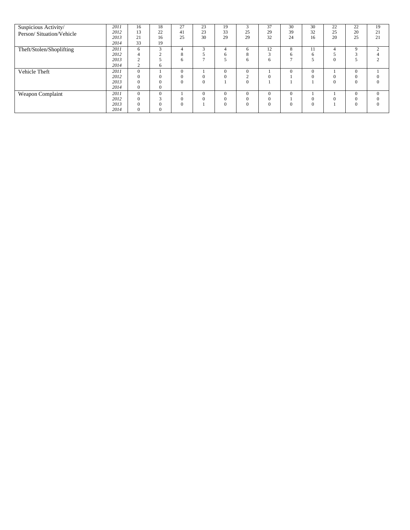| Suspicious Activity/     | 2011 | 16           | 18       | 27                   | 23       | 19           | $\mathbf{\overline{3}}$ | 37       | 30       | 30       | 22       | 22           | 19       |
|--------------------------|------|--------------|----------|----------------------|----------|--------------|-------------------------|----------|----------|----------|----------|--------------|----------|
| Person/Situation/Vehicle | 2012 | 13           | 22       | 41                   | 23       | 33           | 25                      | 29       | 39       | 32       | 25       | 20           | 21       |
|                          | 2013 | 21           | 16       | 25                   | 30       | 29           | 29                      | 32       | 24       | 16       | 20       | 25           | 21       |
|                          | 2014 | 33           | 19       |                      |          |              |                         |          |          |          |          |              |          |
| Theft/Stolen/Shoplifting | 2011 | 6            | $\sim$   | 4                    | $\sim$   | 4            | 6                       | 12       | 8        | 11       |          | 9            | $\gamma$ |
|                          | 2012 | 4            | $\sim$   | $\Omega$<br>$\Delta$ |          | 6            | $\Omega$<br>$\delta$    |          | 6        | 6        |          | $\sim$<br>ñ  |          |
|                          | 2013 | $\sim$       |          | 6                    |          |              | 6                       | 6        |          |          | $\theta$ |              |          |
|                          | 2014 | $\sim$       | 6        |                      |          |              |                         |          |          |          |          |              |          |
| Vehicle Theft            | 2011 | $\Omega$     |          | $\Omega$             |          | $\mathbf{0}$ | $\Omega$                |          | $\Omega$ | $\Omega$ |          | $\mathbf{0}$ |          |
|                          | 2012 | $\Omega$     | 0        | $\Omega$             |          | $\Omega$     | $\sim$                  | $_{0}$   |          |          | 0        | $\mathbf{0}$ | $\Omega$ |
|                          | 2013 | $\Omega$     |          | $\Omega$             | 0        |              | $\theta$                |          |          |          | $\theta$ | $\Omega$     | $\Omega$ |
|                          | 2014 | $\Omega$     | $\Omega$ |                      |          |              |                         |          |          |          |          |              |          |
| Weapon Complaint         | 2011 | $\Omega$     | $\Omega$ |                      | $\theta$ | $\mathbf{0}$ | $\Omega$                | $\Omega$ | $\Omega$ |          |          | $\Omega$     | $\Omega$ |
|                          | 2012 | $\Omega$     | e        | $\Omega$             |          | $\mathbf{0}$ | $\Omega$                | $_{0}$   |          |          |          | $\Omega$     | $\Omega$ |
|                          | 2013 | $\Omega$     |          | $\Omega$             |          | $\mathbf{0}$ | $\Omega$                | $\Omega$ | $\Omega$ | $\Omega$ |          | $\Omega$     | $\Omega$ |
|                          | 2014 | $\mathbf{0}$ | 0        |                      |          |              |                         |          |          |          |          |              |          |